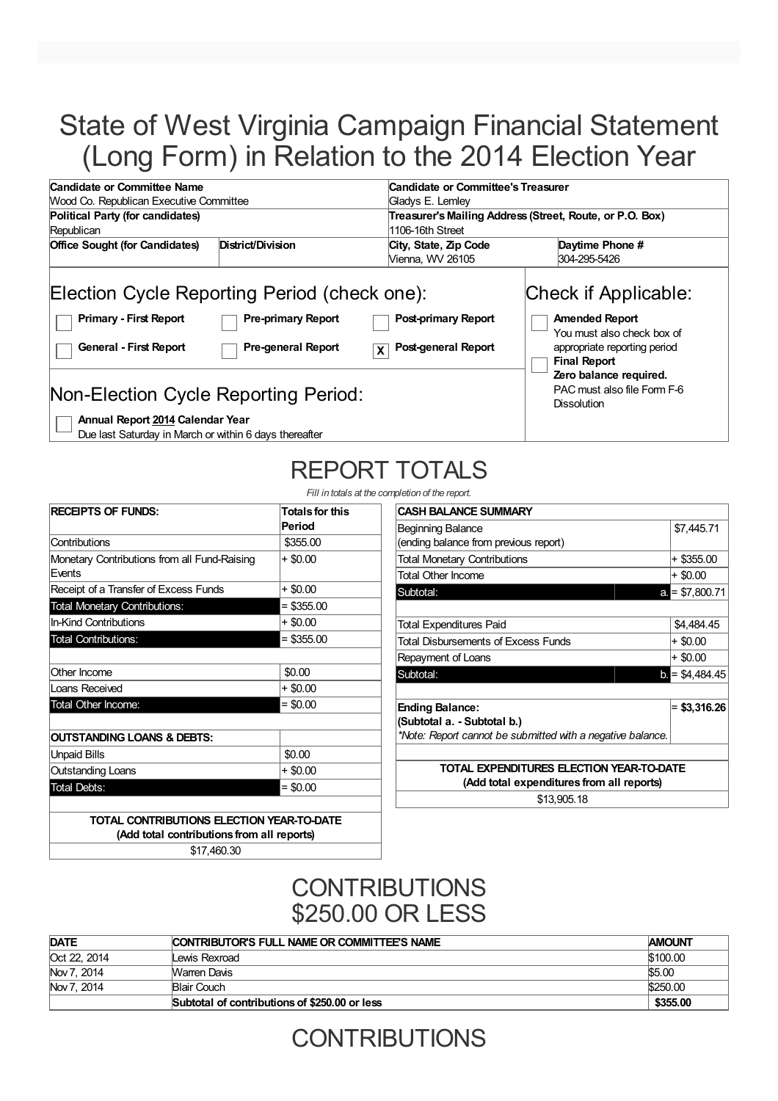# State of West Virginia Campaign Financial Statement (Long Form) in Relation to the 2014 Election Year

| Candidate or Committee Name                                                                                                                                                                                                                          |                                                                         | Candidate or Committee's Treasurer                                                                                                                                                                                |  |  |  |
|------------------------------------------------------------------------------------------------------------------------------------------------------------------------------------------------------------------------------------------------------|-------------------------------------------------------------------------|-------------------------------------------------------------------------------------------------------------------------------------------------------------------------------------------------------------------|--|--|--|
| Wood Co. Republican Executive Committee<br>Gladys E. Lemley                                                                                                                                                                                          |                                                                         |                                                                                                                                                                                                                   |  |  |  |
| Political Party (for candidates)                                                                                                                                                                                                                     |                                                                         | Treasurer's Mailing Address (Street, Route, or P.O. Box)                                                                                                                                                          |  |  |  |
| Republican                                                                                                                                                                                                                                           | 1106-16th Street                                                        |                                                                                                                                                                                                                   |  |  |  |
| District/Division<br><b>Office Sought (for Candidates)</b>                                                                                                                                                                                           | City, State, Zip Code                                                   | Daytime Phone #                                                                                                                                                                                                   |  |  |  |
|                                                                                                                                                                                                                                                      | Vienna, WV 26105                                                        | 304-295-5426                                                                                                                                                                                                      |  |  |  |
| Election Cycle Reporting Period (check one):<br><b>Primary - First Report</b><br><b>Pre-primary Report</b><br><b>General - First Report</b><br><b>Pre-general Report</b><br>Non-Election Cycle Reporting Period:<br>Annual Report 2014 Calendar Year | <b>Post-primary Report</b><br><b>Post-general Report</b><br>$\mathbf x$ | Check if Applicable:<br><b>Amended Report</b><br>You must also check box of<br>appropriate reporting period<br><b>Final Report</b><br>Zero balance required.<br>PAC must also file Form F-6<br><b>Dissolution</b> |  |  |  |

Due last Saturday in March or within 6 days thereafter

# REPORT TOTALS

*Fill in totals at the completion of the reports* 

| <b>RECEIPTS OF FUNDS:</b>                              | <b>Totals for this</b><br>Period |
|--------------------------------------------------------|----------------------------------|
| Contributions                                          | \$355.00                         |
| Monetary Contributions from all Fund-Raising<br>Events | $+$ \$0.00                       |
| Receipt of a Transfer of Excess Funds                  | $+$ \$0.00                       |
| <b>Total Monetary Contributions:</b>                   | $=$ \$355.00                     |
| <b>In-Kind Contributions</b>                           | + \$0.00                         |
| <b>Total Contributions:</b>                            | $=$ \$355.00                     |
| Other Income                                           | \$0.00                           |
| Loans Received                                         | + \$0.00                         |
| Total Other Income:                                    | $=$ \$0.00                       |
| <b>OUTSTANDING LOANS &amp; DEBTS:</b>                  |                                  |
| <b>Unpaid Bills</b>                                    | \$0.00                           |
| <b>Outstanding Loans</b>                               | + \$0.00                         |
| <b>Total Debts:</b>                                    | $= $0.00$                        |

| \$7,445.71                                |  |  |  |
|-------------------------------------------|--|--|--|
|                                           |  |  |  |
| + \$355.00                                |  |  |  |
| $+$ \$0.00                                |  |  |  |
| $a = $7,800.71$                           |  |  |  |
|                                           |  |  |  |
| \$4,484.45                                |  |  |  |
| $+$ \$0.00                                |  |  |  |
| + \$0.00                                  |  |  |  |
| $b = $4,484.45$                           |  |  |  |
|                                           |  |  |  |
| $= $3,316.26$                             |  |  |  |
|                                           |  |  |  |
|                                           |  |  |  |
|                                           |  |  |  |
| TOTAL EXPENDITURES ELECTION YEAR-TO-DATE  |  |  |  |
| (Add total expenditures from all reports) |  |  |  |
|                                           |  |  |  |

\$13,905.18

**TOTAL CONTRIBUTIONS ELECTION YEAR-TO-DATE (Add total contributions from all reports)**

\$17,460.30

### **CONTRIBUTIONS** \$250.00 OR LESS

| <b>DATE</b>  | CONTRIBUTOR'S FULL NAME OR COMMITTEE'S NAME   | <b>AMOUNT</b> |
|--------------|-----------------------------------------------|---------------|
| Oct 22, 2014 | Lewis Rexroad                                 | \$100.00      |
| Nov 7, 2014  | <b>Warren Davis</b>                           | \$5.00        |
| Nov 7, 2014  | Blair Couch                                   | \$250.00      |
|              | Subtotal of contributions of \$250,00 or less | \$355.00      |

# **CONTRIBUTIONS**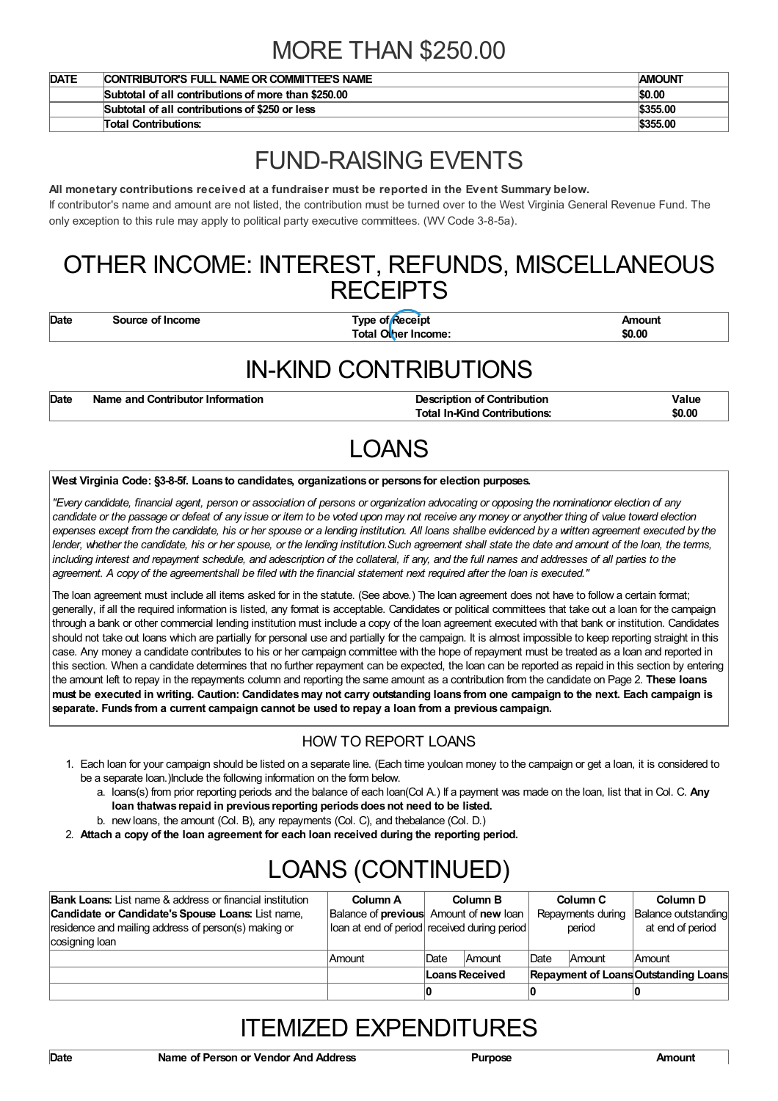## MORE THAN \$250.00

| <b>DATE</b> | CONTRIBUTOR'S FULL NAME OR COMMITTEE'S NAME         | <b>AMOUNT</b> |
|-------------|-----------------------------------------------------|---------------|
|             | Subtotal of all contributions of more than \$250,00 | \$0.00        |
|             | Subtotal of all contributions of \$250 or less      | \$355.00      |
|             | <b>Total Contributions:</b>                         | \$355.00      |

## FUND-RAISING EVENTS

#### **All monetary contributions received at a fundraiser must be reported in the Event Summary below.**

If contributor's name and amount are not listed, the contribution must be turned over to the West Virginia General Revenue Fund. The only exception to this rule may apply to political party executive committees. (WV Code 3-8-5a).

### OTHER INCOME: INTEREST, REFUNDS, MISCELLANEOUS **RECEIPTS**

**Date Source of Income Type of Receipt Amount Total Other Income: \$0.00**

## IN-KIND CONTRIBUTIONS

| Date | Name and Contributor Information | <b>Description of Contribution</b>  | Value  |
|------|----------------------------------|-------------------------------------|--------|
|      |                                  | <b>Total In-Kind Contributions:</b> | \$0.00 |

# LOANS

#### **West Virginia Code: §3-8-5f. Loans to candidates, organizationsor persons for election purposes.**

"Every candidate, financial agent, person or association of persons or organization advocating or opposing the nominationor election of any candidate or the passage or defeat of any issue or item to be voted upon may not receive any money or anyother thing of value toward election expenses except from the candidate, his or her spouse or a lending institution. All loans shallbe evidenced by a written agreement executed by the lender, whether the candidate, his or her spouse, or the lending institution. Such agreement shall state the date and amount of the loan, the terms, including interest and repayment schedule, and adescription of the collateral, if any, and the full names and addresses of all parties to the agreement. A copy of the agreementshall be filed with the financial statement next required after the loan is executed."

The loan agreement must include all items asked for in the statute. (See above.) The loan agreement does not have to follow a certain format; generally, if all the required information is listed, any format is acceptable. Candidates or political committees that take out a loan for the campaign through a bank or other commercial lending institution must include a copy of the loan agreement executed with that bank or institution. Candidates should not take out loans which are partially for personal use and partially for the campaign. It is almost impossible to keep reporting straight in this case. Any money a candidate contributes to his or her campaign committee with the hope of repayment must be treated as a loan and reported in this section. When a candidate determines that no further repayment can be expected, the loan can be reported as repaid in this section by entering the amount left to repay in the repayments column and reporting the same amount as a contribution from the candidate on Page 2. **These loans** must be executed in writing. Caution: Candidates may not carry outstanding loans from one campaign to the next. Each campaign is **separate. Funds from a current campaign cannot be used to repay a loan from a previous campaign.**

#### HOW TO REPORT LOANS

- 1. Each loan for your campaign should be listed on a separate line. (Each time youloan money to the campaign or get a loan, it is considered to be a separate loan.)Include the following information on the form below.
	- a. loans(s) from prior reporting periods and the balance of each loan(Col A.) If a payment was made on the loan, list that in Col. C. **Any loan thatwas repaid in previous reporting periodsdoesnot need to be listed.**
	- b. new loans, the amount (Col. B), any repayments (Col. C), and thebalance (Col. D.)
- 2. **Attach a copy of the loan agreement for each loan received during the reporting period.**

# LOANS (CONTINUED)

| <b>Bank Loans:</b> List name & address or financial institution | Column A                                     |                | Column B      |      | Column C          | Column D                             |
|-----------------------------------------------------------------|----------------------------------------------|----------------|---------------|------|-------------------|--------------------------------------|
| Candidate or Candidate's Spouse Loans: List name,               | Balance of previous Amount of new loan       |                |               |      | Repayments during | Balance outstanding                  |
| residence and mailing address of person(s) making or            | loan at end of period received during period |                |               |      | period            | at end of period                     |
| cosigning loan                                                  |                                              |                |               |      |                   |                                      |
|                                                                 | Amount                                       | <b>IDate</b>   | <b>Amount</b> | Date | Amount            | <b>Amount</b>                        |
|                                                                 |                                              | Loans Received |               |      |                   | Repayment of Loans Outstanding Loans |
|                                                                 |                                              |                |               |      |                   |                                      |

## ITEMIZED EXPENDITURES